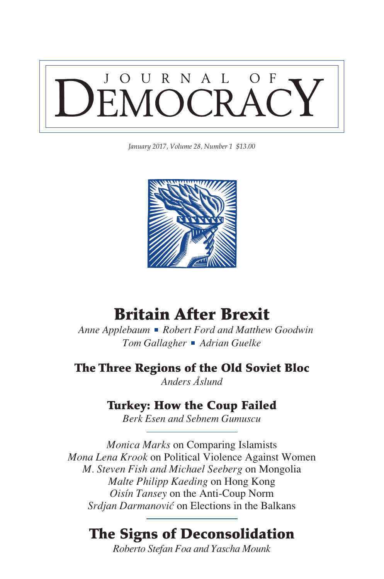

*January 2017, Volume 28, Number 1 \$13.00*



# Britain After Brexit

 *Anne Applebaum Robert Ford and Matthew Goodwin*  **Tom Gallagher ■ Adrian Guelke** 

The Three Regions of the Old Soviet Bloc

*Anders Åslund*

## Turkey: How the Coup Failed

*Berk Esen and Sebnem Gumuscu*

*Monica Marks* on Comparing Islamists *Mona Lena Krook* on Political Violence Against Women *M. Steven Fish and Michael Seeberg* on Mongolia *Malte Philipp Kaeding* on Hong Kong *Oisín Tansey* on the Anti-Coup Norm *Srdjan Darmanović* on Elections in the Balkans

## The Signs of Deconsolidation

*Roberto Stefan Foa and Yascha Mounk*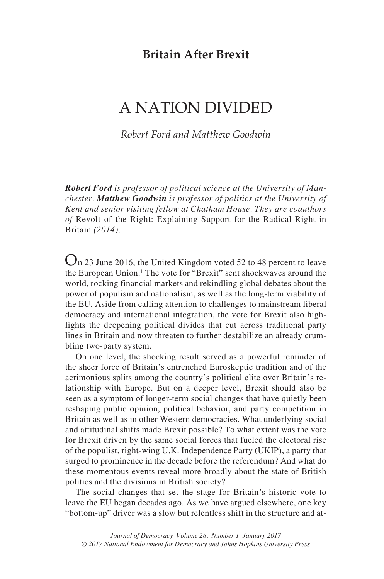### **Britain After Brexit**

## A Nation Divided

*Robert Ford and Matthew Goodwin*

*Robert Ford is professor of political science at the University of Manchester. Matthew Goodwin is professor of politics at the University of Kent and senior visiting fellow at Chatham House. They are coauthors of* Revolt of the Right: Explaining Support for the Radical Right in Britain *(2014).*

 $\mathbf{O}_n$  23 June 2016, the United Kingdom voted 52 to 48 percent to leave the European Union.<sup>1</sup> The vote for "Brexit" sent shockwaves around the world, rocking financial markets and rekindling global debates about the power of populism and nationalism, as well as the long-term viability of the EU. Aside from calling attention to challenges to mainstream liberal democracy and international integration, the vote for Brexit also highlights the deepening political divides that cut across traditional party lines in Britain and now threaten to further destabilize an already crumbling two-party system.

On one level, the shocking result served as a powerful reminder of the sheer force of Britain's entrenched Euroskeptic tradition and of the acrimonious splits among the country's political elite over Britain's relationship with Europe. But on a deeper level, Brexit should also be seen as a symptom of longer-term social changes that have quietly been reshaping public opinion, political behavior, and party competition in Britain as well as in other Western democracies. What underlying social and attitudinal shifts made Brexit possible? To what extent was the vote for Brexit driven by the same social forces that fueled the electoral rise of the populist, right-wing U.K. Independence Party (UKIP), a party that surged to prominence in the decade before the referendum? And what do these momentous events reveal more broadly about the state of British politics and the divisions in British society?

The social changes that set the stage for Britain's historic vote to leave the EU began decades ago. As we have argued elsewhere, one key "bottom-up" driver was a slow but relentless shift in the structure and at-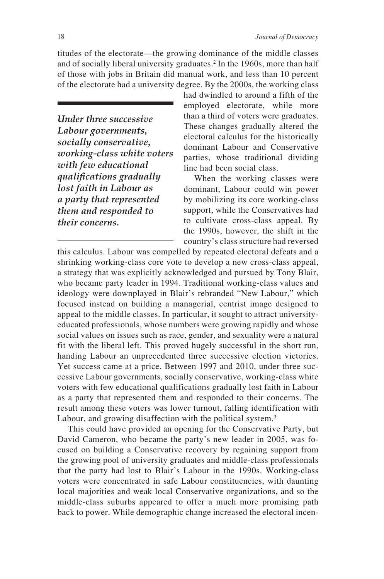titudes of the electorate—the growing dominance of the middle classes and of socially liberal university graduates.<sup>2</sup> In the 1960s, more than half of those with jobs in Britain did manual work, and less than 10 percent of the electorate had a university degree. By the 2000s, the working class

*Under three successive Labour governments, socially conservative, working-class white voters with few educational qualifications gradually lost faith in Labour as a party that represented them and responded to their concerns.* 

had dwindled to around a fifth of the employed electorate, while more than a third of voters were graduates. These changes gradually altered the electoral calculus for the historically dominant Labour and Conservative parties, whose traditional dividing line had been social class.

When the working classes were dominant, Labour could win power by mobilizing its core working-class support, while the Conservatives had to cultivate cross-class appeal. By the 1990s, however, the shift in the country's class structure had reversed

this calculus. Labour was compelled by repeated electoral defeats and a shrinking working-class core vote to develop a new cross-class appeal, a strategy that was explicitly acknowledged and pursued by Tony Blair, who became party leader in 1994. Traditional working-class values and ideology were downplayed in Blair's rebranded "New Labour," which focused instead on building a managerial, centrist image designed to appeal to the middle classes. In particular, it sought to attract universityeducated professionals, whose numbers were growing rapidly and whose social values on issues such as race, gender, and sexuality were a natural fit with the liberal left. This proved hugely successful in the short run, handing Labour an unprecedented three successive election victories. Yet success came at a price. Between 1997 and 2010, under three successive Labour governments, socially conservative, working-class white voters with few educational qualifications gradually lost faith in Labour as a party that represented them and responded to their concerns. The result among these voters was lower turnout, falling identification with Labour, and growing disaffection with the political system.<sup>3</sup>

This could have provided an opening for the Conservative Party, but David Cameron, who became the party's new leader in 2005, was focused on building a Conservative recovery by regaining support from the growing pool of university graduates and middle-class professionals that the party had lost to Blair's Labour in the 1990s. Working-class voters were concentrated in safe Labour constituencies, with daunting local majorities and weak local Conservative organizations, and so the middle-class suburbs appeared to offer a much more promising path back to power. While demographic change increased the electoral incen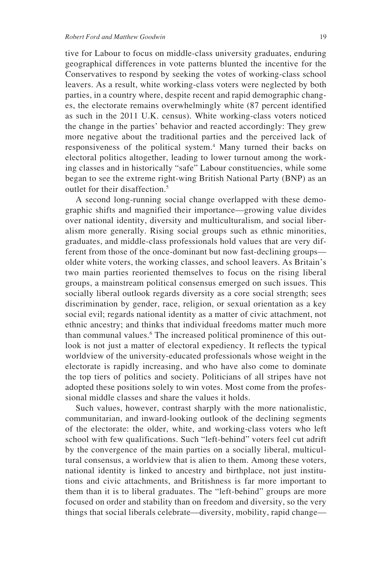tive for Labour to focus on middle-class university graduates, enduring geographical differences in vote patterns blunted the incentive for the Conservatives to respond by seeking the votes of working-class school leavers. As a result, white working-class voters were neglected by both parties, in a country where, despite recent and rapid demographic changes, the electorate remains overwhelmingly white (87 percent identified as such in the 2011 U.K. census). White working-class voters noticed the change in the parties' behavior and reacted accordingly: They grew more negative about the traditional parties and the perceived lack of responsiveness of the political system.<sup>4</sup> Many turned their backs on electoral politics altogether, leading to lower turnout among the working classes and in historically "safe" Labour constituencies, while some began to see the extreme right-wing British National Party (BNP) as an outlet for their disaffection.<sup>5</sup>

A second long-running social change overlapped with these demographic shifts and magnified their importance—growing value divides over national identity, diversity and multiculturalism, and social liberalism more generally. Rising social groups such as ethnic minorities, graduates, and middle-class professionals hold values that are very different from those of the once-dominant but now fast-declining groups older white voters, the working classes, and school leavers. As Britain's two main parties reoriented themselves to focus on the rising liberal groups, a mainstream political consensus emerged on such issues. This socially liberal outlook regards diversity as a core social strength; sees discrimination by gender, race, religion, or sexual orientation as a key social evil; regards national identity as a matter of civic attachment, not ethnic ancestry; and thinks that individual freedoms matter much more than communal values.<sup>6</sup> The increased political prominence of this outlook is not just a matter of electoral expediency. It reflects the typical worldview of the university-educated professionals whose weight in the electorate is rapidly increasing, and who have also come to dominate the top tiers of politics and society. Politicians of all stripes have not adopted these positions solely to win votes. Most come from the professional middle classes and share the values it holds.

Such values, however, contrast sharply with the more nationalistic, communitarian, and inward-looking outlook of the declining segments of the electorate: the older, white, and working-class voters who left school with few qualifications. Such "left-behind" voters feel cut adrift by the convergence of the main parties on a socially liberal, multicultural consensus, a worldview that is alien to them. Among these voters, national identity is linked to ancestry and birthplace, not just institutions and civic attachments, and Britishness is far more important to them than it is to liberal graduates. The "left-behind" groups are more focused on order and stability than on freedom and diversity, so the very things that social liberals celebrate—diversity, mobility, rapid change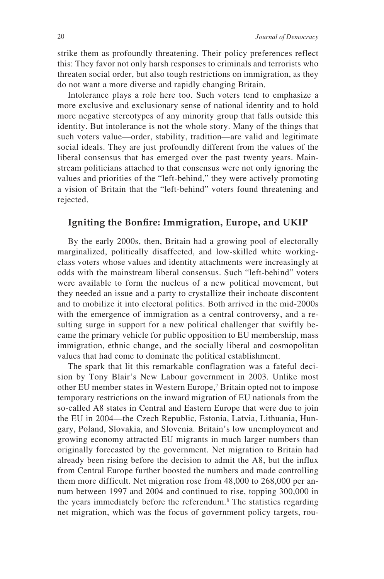strike them as profoundly threatening. Their policy preferences reflect this: They favor not only harsh responses to criminals and terrorists who threaten social order, but also tough restrictions on immigration, as they do not want a more diverse and rapidly changing Britain.

Intolerance plays a role here too. Such voters tend to emphasize a more exclusive and exclusionary sense of national identity and to hold more negative stereotypes of any minority group that falls outside this identity. But intolerance is not the whole story. Many of the things that such voters value—order, stability, tradition—are valid and legitimate social ideals. They are just profoundly different from the values of the liberal consensus that has emerged over the past twenty years. Mainstream politicians attached to that consensus were not only ignoring the values and priorities of the "left-behind," they were actively promoting a vision of Britain that the "left-behind" voters found threatening and rejected.

### **Igniting the Bonfire: Immigration, Europe, and UKIP**

By the early 2000s, then, Britain had a growing pool of electorally marginalized, politically disaffected, and low-skilled white workingclass voters whose values and identity attachments were increasingly at odds with the mainstream liberal consensus. Such "left-behind" voters were available to form the nucleus of a new political movement, but they needed an issue and a party to crystallize their inchoate discontent and to mobilize it into electoral politics. Both arrived in the mid-2000s with the emergence of immigration as a central controversy, and a resulting surge in support for a new political challenger that swiftly became the primary vehicle for public opposition to EU membership, mass immigration, ethnic change, and the socially liberal and cosmopolitan values that had come to dominate the political establishment.

The spark that lit this remarkable conflagration was a fateful decision by Tony Blair's New Labour government in 2003. Unlike most other EU member states in Western Europe,7 Britain opted not to impose temporary restrictions on the inward migration of EU nationals from the so-called A8 states in Central and Eastern Europe that were due to join the EU in 2004—the Czech Republic, Estonia, Latvia, Lithuania, Hungary, Poland, Slovakia, and Slovenia. Britain's low unemployment and growing economy attracted EU migrants in much larger numbers than originally forecasted by the government. Net migration to Britain had already been rising before the decision to admit the A8, but the influx from Central Europe further boosted the numbers and made controlling them more difficult. Net migration rose from 48,000 to 268,000 per annum between 1997 and 2004 and continued to rise, topping 300,000 in the years immediately before the referendum.8 The statistics regarding net migration, which was the focus of government policy targets, rou-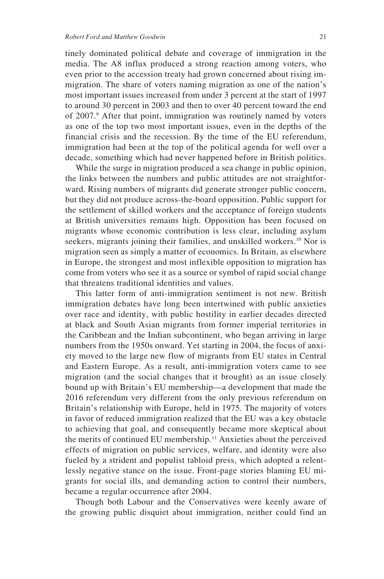tinely dominated political debate and coverage of immigration in the media. The A8 influx produced a strong reaction among voters, who even prior to the accession treaty had grown concerned about rising immigration. The share of voters naming migration as one of the nation's most important issues increased from under 3 percent at the start of 1997 to around 30 percent in 2003 and then to over 40 percent toward the end of 2007.<sup>9</sup> After that point, immigration was routinely named by voters as one of the top two most important issues, even in the depths of the financial crisis and the recession. By the time of the EU referendum, immigration had been at the top of the political agenda for well over a decade, something which had never happened before in British politics.

While the surge in migration produced a sea change in public opinion, the links between the numbers and public attitudes are not straightforward. Rising numbers of migrants did generate stronger public concern, but they did not produce across-the-board opposition. Public support for the settlement of skilled workers and the acceptance of foreign students at British universities remains high. Opposition has been focused on migrants whose economic contribution is less clear, including asylum seekers, migrants joining their families, and unskilled workers.<sup>10</sup> Nor is migration seen as simply a matter of economics. In Britain, as elsewhere in Europe, the strongest and most inflexible opposition to migration has come from voters who see it as a source or symbol of rapid social change that threatens traditional identities and values.

This latter form of anti-immigration sentiment is not new. British immigration debates have long been intertwined with public anxieties over race and identity, with public hostility in earlier decades directed at black and South Asian migrants from former imperial territories in the Caribbean and the Indian subcontinent, who began arriving in large numbers from the 1950s onward. Yet starting in 2004, the focus of anxiety moved to the large new flow of migrants from EU states in Central and Eastern Europe. As a result, anti-immigration voters came to see migration (and the social changes that it brought) as an issue closely bound up with Britain's EU membership—a development that made the 2016 referendum very different from the only previous referendum on Britain's relationship with Europe, held in 1975. The majority of voters in favor of reduced immigration realized that the EU was a key obstacle to achieving that goal, and consequently became more skeptical about the merits of continued EU membership.11 Anxieties about the perceived effects of migration on public services, welfare, and identity were also fueled by a strident and populist tabloid press, which adopted a relentlessly negative stance on the issue. Front-page stories blaming EU migrants for social ills, and demanding action to control their numbers, became a regular occurrence after 2004.

Though both Labour and the Conservatives were keenly aware of the growing public disquiet about immigration, neither could find an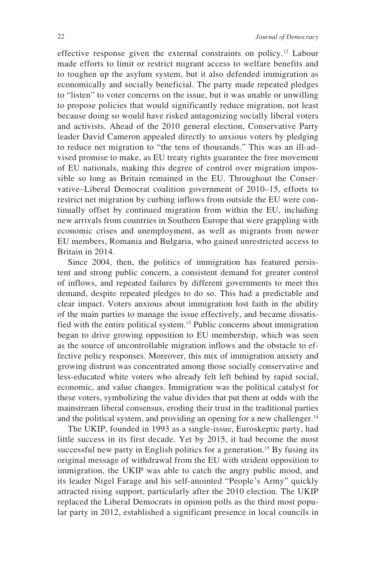effective response given the external constraints on policy.12 Labour made efforts to limit or restrict migrant access to welfare benefits and to toughen up the asylum system, but it also defended immigration as economically and socially beneficial. The party made repeated pledges to "listen" to voter concerns on the issue, but it was unable or unwilling to propose policies that would significantly reduce migration, not least because doing so would have risked antagonizing socially liberal voters and activists. Ahead of the 2010 general election, Conservative Party leader David Cameron appealed directly to anxious voters by pledging to reduce net migration to "the tens of thousands." This was an ill-advised promise to make, as EU treaty rights guarantee the free movement of EU nationals, making this degree of control over migration impossible so long as Britain remained in the EU. Throughout the Conservative–Liberal Democrat coalition government of 2010–15, efforts to restrict net migration by curbing inflows from outside the EU were continually offset by continued migration from within the EU, including new arrivals from countries in Southern Europe that were grappling with economic crises and unemployment, as well as migrants from newer EU members, Romania and Bulgaria, who gained unrestricted access to Britain in 2014.

Since 2004, then, the politics of immigration has featured persistent and strong public concern, a consistent demand for greater control of inflows, and repeated failures by different governments to meet this demand, despite repeated pledges to do so. This had a predictable and clear impact. Voters anxious about immigration lost faith in the ability of the main parties to manage the issue effectively, and became dissatisfied with the entire political system.13 Public concerns about immigration began to drive growing opposition to EU membership, which was seen as the source of uncontrollable migration inflows and the obstacle to effective policy responses. Moreover, this mix of immigration anxiety and growing distrust was concentrated among those socially conservative and less-educated white voters who already felt left behind by rapid social, economic, and value changes. Immigration was the political catalyst for these voters, symbolizing the value divides that put them at odds with the mainstream liberal consensus, eroding their trust in the traditional parties and the political system, and providing an opening for a new challenger.<sup>14</sup>

The UKIP, founded in 1993 as a single-issue, Euroskeptic party, had little success in its first decade. Yet by 2015, it had become the most successful new party in English politics for a generation.<sup>15</sup> By fusing its original message of withdrawal from the EU with strident opposition to immigration, the UKIP was able to catch the angry public mood, and its leader Nigel Farage and his self-anointed "People's Army" quickly attracted rising support, particularly after the 2010 election. The UKIP replaced the Liberal Democrats in opinion polls as the third most popular party in 2012, established a significant presence in local councils in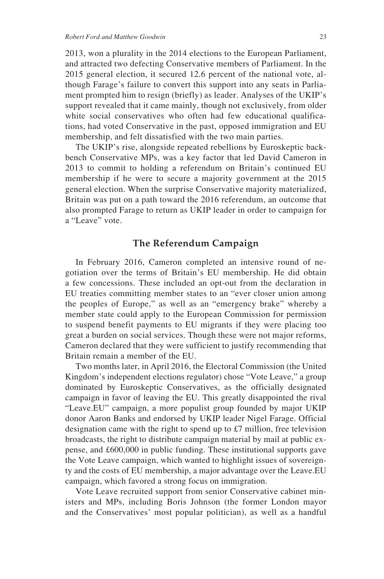2013, won a plurality in the 2014 elections to the European Parliament, and attracted two defecting Conservative members of Parliament. In the 2015 general election, it secured 12.6 percent of the national vote, although Farage's failure to convert this support into any seats in Parliament prompted him to resign (briefly) as leader. Analyses of the UKIP's support revealed that it came mainly, though not exclusively, from older white social conservatives who often had few educational qualifications, had voted Conservative in the past, opposed immigration and EU membership, and felt dissatisfied with the two main parties.

The UKIP's rise, alongside repeated rebellions by Euroskeptic backbench Conservative MPs, was a key factor that led David Cameron in 2013 to commit to holding a referendum on Britain's continued EU membership if he were to secure a majority government at the 2015 general election. When the surprise Conservative majority materialized, Britain was put on a path toward the 2016 referendum, an outcome that also prompted Farage to return as UKIP leader in order to campaign for a "Leave" vote.

#### **The Referendum Campaign**

In February 2016, Cameron completed an intensive round of negotiation over the terms of Britain's EU membership. He did obtain a few concessions. These included an opt-out from the declaration in EU treaties committing member states to an "ever closer union among the peoples of Europe," as well as an "emergency brake" whereby a member state could apply to the European Commission for permission to suspend benefit payments to EU migrants if they were placing too great a burden on social services. Though these were not major reforms, Cameron declared that they were sufficient to justify recommending that Britain remain a member of the EU.

Two months later, in April 2016, the Electoral Commission (the United Kingdom's independent elections regulator) chose "Vote Leave," a group dominated by Euroskeptic Conservatives, as the officially designated campaign in favor of leaving the EU. This greatly disappointed the rival "Leave.EU" campaign, a more populist group founded by major UKIP donor Aaron Banks and endorsed by UKIP leader Nigel Farage. Official designation came with the right to spend up to £7 million, free television broadcasts, the right to distribute campaign material by mail at public expense, and £600,000 in public funding. These institutional supports gave the Vote Leave campaign, which wanted to highlight issues of sovereignty and the costs of EU membership, a major advantage over the Leave.EU campaign, which favored a strong focus on immigration.

Vote Leave recruited support from senior Conservative cabinet ministers and MPs, including Boris Johnson (the former London mayor and the Conservatives' most popular politician), as well as a handful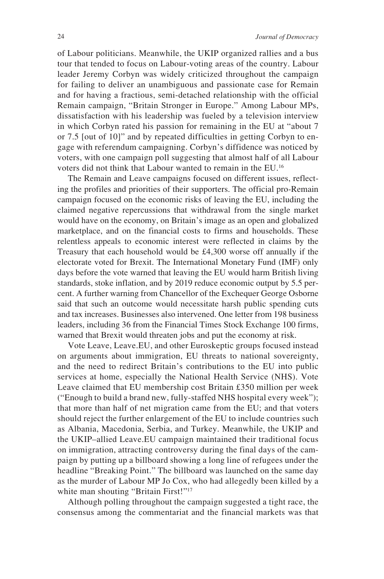of Labour politicians. Meanwhile, the UKIP organized rallies and a bus tour that tended to focus on Labour-voting areas of the country. Labour leader Jeremy Corbyn was widely criticized throughout the campaign for failing to deliver an unambiguous and passionate case for Remain and for having a fractious, semi-detached relationship with the official Remain campaign, "Britain Stronger in Europe." Among Labour MPs, dissatisfaction with his leadership was fueled by a television interview in which Corbyn rated his passion for remaining in the EU at "about 7 or 7.5 [out of 10]" and by repeated difficulties in getting Corbyn to engage with referendum campaigning. Corbyn's diffidence was noticed by voters, with one campaign poll suggesting that almost half of all Labour voters did not think that Labour wanted to remain in the EU.16

The Remain and Leave campaigns focused on different issues, reflecting the profiles and priorities of their supporters. The official pro-Remain campaign focused on the economic risks of leaving the EU, including the claimed negative repercussions that withdrawal from the single market would have on the economy, on Britain's image as an open and globalized marketplace, and on the financial costs to firms and households. These relentless appeals to economic interest were reflected in claims by the Treasury that each household would be £4,300 worse off annually if the electorate voted for Brexit. The International Monetary Fund (IMF) only days before the vote warned that leaving the EU would harm British living standards, stoke inflation, and by 2019 reduce economic output by 5.5 percent. A further warning from Chancellor of the Exchequer George Osborne said that such an outcome would necessitate harsh public spending cuts and tax increases. Businesses also intervened. One letter from 198 business leaders, including 36 from the Financial Times Stock Exchange 100 firms, warned that Brexit would threaten jobs and put the economy at risk.

Vote Leave, Leave.EU, and other Euroskeptic groups focused instead on arguments about immigration, EU threats to national sovereignty, and the need to redirect Britain's contributions to the EU into public services at home, especially the National Health Service (NHS). Vote Leave claimed that EU membership cost Britain £350 million per week ("Enough to build a brand new, fully-staffed NHS hospital every week"); that more than half of net migration came from the EU; and that voters should reject the further enlargement of the EU to include countries such as Albania, Macedonia, Serbia, and Turkey. Meanwhile, the UKIP and the UKIP–allied Leave.EU campaign maintained their traditional focus on immigration, attracting controversy during the final days of the campaign by putting up a billboard showing a long line of refugees under the headline "Breaking Point." The billboard was launched on the same day as the murder of Labour MP Jo Cox, who had allegedly been killed by a white man shouting "Britain First!"<sup>17</sup>

Although polling throughout the campaign suggested a tight race, the consensus among the commentariat and the financial markets was that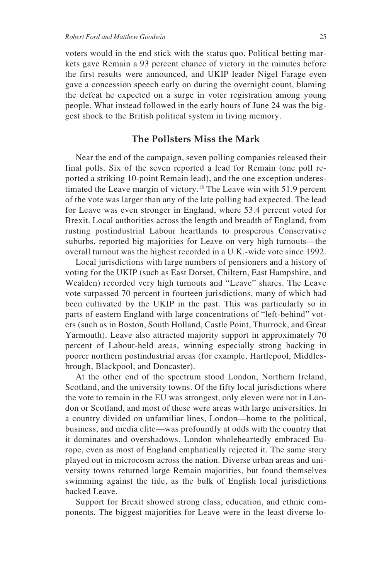voters would in the end stick with the status quo. Political betting markets gave Remain a 93 percent chance of victory in the minutes before the first results were announced, and UKIP leader Nigel Farage even gave a concession speech early on during the overnight count, blaming the defeat he expected on a surge in voter registration among young people. What instead followed in the early hours of June 24 was the biggest shock to the British political system in living memory.

#### **The Pollsters Miss the Mark**

Near the end of the campaign, seven polling companies released their final polls. Six of the seven reported a lead for Remain (one poll reported a striking 10-point Remain lead), and the one exception underestimated the Leave margin of victory.<sup>18</sup> The Leave win with 51.9 percent of the vote was larger than any of the late polling had expected. The lead for Leave was even stronger in England, where 53.4 percent voted for Brexit. Local authorities across the length and breadth of England, from rusting postindustrial Labour heartlands to prosperous Conservative suburbs, reported big majorities for Leave on very high turnouts—the overall turnout was the highest recorded in a U.K.-wide vote since 1992.

Local jurisdictions with large numbers of pensioners and a history of voting for the UKIP (such as East Dorset, Chiltern, East Hampshire, and Wealden) recorded very high turnouts and "Leave" shares. The Leave vote surpassed 70 percent in fourteen jurisdictions, many of which had been cultivated by the UKIP in the past. This was particularly so in parts of eastern England with large concentrations of "left-behind" voters (such as in Boston, South Holland, Castle Point, Thurrock, and Great Yarmouth). Leave also attracted majority support in approximately 70 percent of Labour-held areas, winning especially strong backing in poorer northern postindustrial areas (for example, Hartlepool, Middlesbrough, Blackpool, and Doncaster).

At the other end of the spectrum stood London, Northern Ireland, Scotland, and the university towns. Of the fifty local jurisdictions where the vote to remain in the EU was strongest, only eleven were not in London or Scotland, and most of these were areas with large universities. In a country divided on unfamiliar lines, London—home to the political, business, and media elite—was profoundly at odds with the country that it dominates and overshadows. London wholeheartedly embraced Europe, even as most of England emphatically rejected it. The same story played out in microcosm across the nation. Diverse urban areas and university towns returned large Remain majorities, but found themselves swimming against the tide, as the bulk of English local jurisdictions backed Leave.

Support for Brexit showed strong class, education, and ethnic components. The biggest majorities for Leave were in the least diverse lo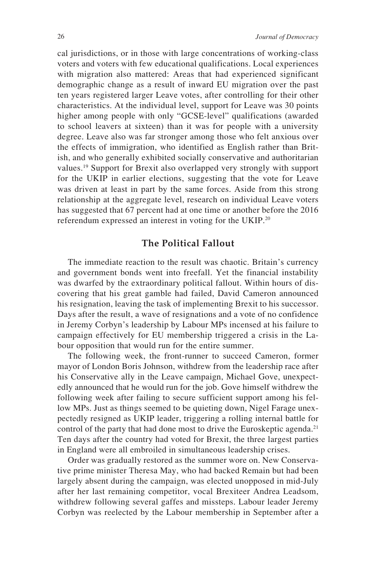cal jurisdictions, or in those with large concentrations of working-class voters and voters with few educational qualifications. Local experiences with migration also mattered: Areas that had experienced significant demographic change as a result of inward EU migration over the past ten years registered larger Leave votes, after controlling for their other characteristics. At the individual level, support for Leave was 30 points higher among people with only "GCSE-level" qualifications (awarded to school leavers at sixteen) than it was for people with a university degree. Leave also was far stronger among those who felt anxious over the effects of immigration, who identified as English rather than British, and who generally exhibited socially conservative and authoritarian values.19 Support for Brexit also overlapped very strongly with support for the UKIP in earlier elections, suggesting that the vote for Leave was driven at least in part by the same forces. Aside from this strong relationship at the aggregate level, research on individual Leave voters has suggested that 67 percent had at one time or another before the 2016 referendum expressed an interest in voting for the UKIP.20

#### **The Political Fallout**

The immediate reaction to the result was chaotic. Britain's currency and government bonds went into freefall. Yet the financial instability was dwarfed by the extraordinary political fallout. Within hours of discovering that his great gamble had failed, David Cameron announced his resignation, leaving the task of implementing Brexit to his successor. Days after the result, a wave of resignations and a vote of no confidence in Jeremy Corbyn's leadership by Labour MPs incensed at his failure to campaign effectively for EU membership triggered a crisis in the Labour opposition that would run for the entire summer.

The following week, the front-runner to succeed Cameron, former mayor of London Boris Johnson, withdrew from the leadership race after his Conservative ally in the Leave campaign, Michael Gove, unexpectedly announced that he would run for the job. Gove himself withdrew the following week after failing to secure sufficient support among his fellow MPs. Just as things seemed to be quieting down, Nigel Farage unexpectedly resigned as UKIP leader, triggering a rolling internal battle for control of the party that had done most to drive the Euroskeptic agenda.<sup>21</sup> Ten days after the country had voted for Brexit, the three largest parties in England were all embroiled in simultaneous leadership crises.

Order was gradually restored as the summer wore on. New Conservative prime minister Theresa May, who had backed Remain but had been largely absent during the campaign, was elected unopposed in mid-July after her last remaining competitor, vocal Brexiteer Andrea Leadsom, withdrew following several gaffes and missteps. Labour leader Jeremy Corbyn was reelected by the Labour membership in September after a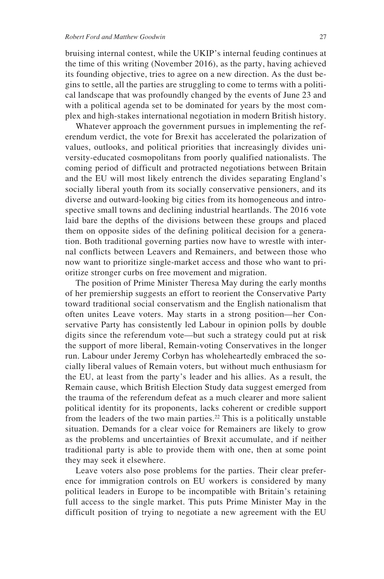bruising internal contest, while the UKIP's internal feuding continues at the time of this writing (November 2016), as the party, having achieved its founding objective, tries to agree on a new direction. As the dust begins to settle, all the parties are struggling to come to terms with a political landscape that was profoundly changed by the events of June 23 and with a political agenda set to be dominated for years by the most complex and high-stakes international negotiation in modern British history.

Whatever approach the government pursues in implementing the referendum verdict, the vote for Brexit has accelerated the polarization of values, outlooks, and political priorities that increasingly divides university-educated cosmopolitans from poorly qualified nationalists. The coming period of difficult and protracted negotiations between Britain and the EU will most likely entrench the divides separating England's socially liberal youth from its socially conservative pensioners, and its diverse and outward-looking big cities from its homogeneous and introspective small towns and declining industrial heartlands. The 2016 vote laid bare the depths of the divisions between these groups and placed them on opposite sides of the defining political decision for a generation. Both traditional governing parties now have to wrestle with internal conflicts between Leavers and Remainers, and between those who now want to prioritize single-market access and those who want to prioritize stronger curbs on free movement and migration.

The position of Prime Minister Theresa May during the early months of her premiership suggests an effort to reorient the Conservative Party toward traditional social conservatism and the English nationalism that often unites Leave voters. May starts in a strong position—her Conservative Party has consistently led Labour in opinion polls by double digits since the referendum vote—but such a strategy could put at risk the support of more liberal, Remain-voting Conservatives in the longer run. Labour under Jeremy Corbyn has wholeheartedly embraced the socially liberal values of Remain voters, but without much enthusiasm for the EU, at least from the party's leader and his allies. As a result, the Remain cause, which British Election Study data suggest emerged from the trauma of the referendum defeat as a much clearer and more salient political identity for its proponents, lacks coherent or credible support from the leaders of the two main parties.<sup>22</sup> This is a politically unstable situation. Demands for a clear voice for Remainers are likely to grow as the problems and uncertainties of Brexit accumulate, and if neither traditional party is able to provide them with one, then at some point they may seek it elsewhere.

Leave voters also pose problems for the parties. Their clear preference for immigration controls on EU workers is considered by many political leaders in Europe to be incompatible with Britain's retaining full access to the single market. This puts Prime Minister May in the difficult position of trying to negotiate a new agreement with the EU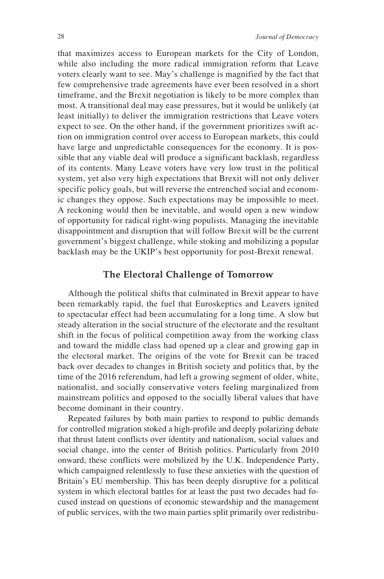that maximizes access to European markets for the City of London, while also including the more radical immigration reform that Leave voters clearly want to see. May's challenge is magnified by the fact that few comprehensive trade agreements have ever been resolved in a short timeframe, and the Brexit negotiation is likely to be more complex than most. A transitional deal may ease pressures, but it would be unlikely (at least initially) to deliver the immigration restrictions that Leave voters expect to see. On the other hand, if the government prioritizes swift action on immigration control over access to European markets, this could have large and unpredictable consequences for the economy. It is possible that any viable deal will produce a significant backlash, regardless of its contents. Many Leave voters have very low trust in the political system, yet also very high expectations that Brexit will not only deliver specific policy goals, but will reverse the entrenched social and economic changes they oppose. Such expectations may be impossible to meet. A reckoning would then be inevitable, and would open a new window of opportunity for radical right-wing populists. Managing the inevitable disappointment and disruption that will follow Brexit will be the current government's biggest challenge, while stoking and mobilizing a popular backlash may be the UKIP's best opportunity for post-Brexit renewal.

### **The Electoral Challenge of Tomorrow**

Although the political shifts that culminated in Brexit appear to have been remarkably rapid, the fuel that Euroskeptics and Leavers ignited to spectacular effect had been accumulating for a long time. A slow but steady alteration in the social structure of the electorate and the resultant shift in the focus of political competition away from the working class and toward the middle class had opened up a clear and growing gap in the electoral market. The origins of the vote for Brexit can be traced back over decades to changes in British society and politics that, by the time of the 2016 referendum, had left a growing segment of older, white, nationalist, and socially conservative voters feeling marginalized from mainstream politics and opposed to the socially liberal values that have become dominant in their country.

Repeated failures by both main parties to respond to public demands for controlled migration stoked a high-profile and deeply polarizing debate that thrust latent conflicts over identity and nationalism, social values and social change, into the center of British politics. Particularly from 2010 onward, these conflicts were mobilized by the U.K. Independence Party, which campaigned relentlessly to fuse these anxieties with the question of Britain's EU membership. This has been deeply disruptive for a political system in which electoral battles for at least the past two decades had focused instead on questions of economic stewardship and the management of public services, with the two main parties split primarily over redistribu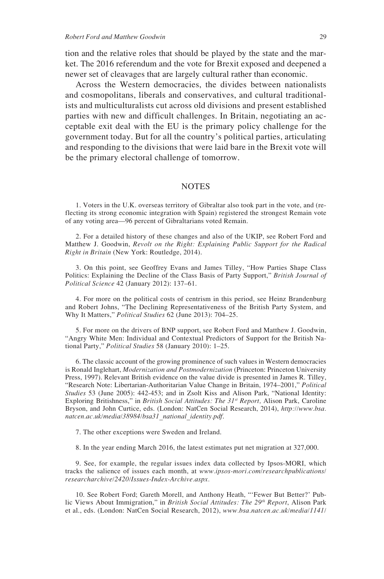tion and the relative roles that should be played by the state and the market. The 2016 referendum and the vote for Brexit exposed and deepened a newer set of cleavages that are largely cultural rather than economic.

Across the Western democracies, the divides between nationalists and cosmopolitans, liberals and conservatives, and cultural traditionalists and multiculturalists cut across old divisions and present established parties with new and difficult challenges. In Britain, negotiating an acceptable exit deal with the EU is the primary policy challenge for the government today. But for all the country's political parties, articulating and responding to the divisions that were laid bare in the Brexit vote will be the primary electoral challenge of tomorrow.

#### **NOTES**

1. Voters in the U.K. overseas territory of Gibraltar also took part in the vote, and (reflecting its strong economic integration with Spain) registered the strongest Remain vote of any voting area—96 percent of Gibraltarians voted Remain.

2. For a detailed history of these changes and also of the UKIP, see Robert Ford and Matthew J. Goodwin, *Revolt on the Right: Explaining Public Support for the Radical Right in Britain* (New York: Routledge, 2014).

3. On this point, see Geoffrey Evans and James Tilley, "How Parties Shape Class Politics: Explaining the Decline of the Class Basis of Party Support," *British Journal of Political Science* 42 (January 2012): 137–61.

4. For more on the political costs of centrism in this period, see Heinz Brandenburg and Robert Johns, "The Declining Representativeness of the British Party System, and Why It Matters," *Political Studies* 62 (June 2013): 704–25.

5. For more on the drivers of BNP support, see Robert Ford and Matthew J. Goodwin, "Angry White Men: Individual and Contextual Predictors of Support for the British National Party," *Political Studies* 58 (January 2010): 1–25.

6. The classic account of the growing prominence of such values in Western democracies is Ronald Inglehart, *Modernization and Postmodernization* (Princeton: Princeton University Press, 1997). Relevant British evidence on the value divide is presented in James R. Tilley, "Research Note: Libertarian-Authoritarian Value Change in Britain, 1974–2001," *Political Studies* 53 (June 2005): 442-453; and in Zsolt Kiss and Alison Park, "National Identity: Exploring Britishness," in *British Social Attitudes: The 31st Report,* Alison Park, Caroline Bryson, and John Curtice, eds. (London: NatCen Social Research, 2014), *[http://www.bsa.](http://www.bsa.natcen.ac.uk/media/38984/bsa31_national_identity.pdf) [natcen.ac.uk/media/38984/bsa31\\_national\\_identity.pdf](http://www.bsa.natcen.ac.uk/media/38984/bsa31_national_identity.pdf)*.

7. The other exceptions were Sweden and Ireland.

8. In the year ending March 2016, the latest estimates put net migration at 327,000.

9. See, for example, the regular issues index data collected by Ipsos-MORI, which tracks the salience of issues each month, at *[www.ipsos-mori.com/researchpublications/](https://www.ipsos-mori.com/researchpublications/researcharchive/2420/Issues-Index-Archive.aspx) [researcharchive/2420/Issues-Index-Archive.aspx.](https://www.ipsos-mori.com/researchpublications/researcharchive/2420/Issues-Index-Archive.aspx)*

10. See Robert Ford; Gareth Morell, and Anthony Heath, "'Fewer But Better?' Public Views About Immigration," in *British Social Attitudes: The 29th Report*, Alison Park et al., eds. (London: NatCen Social Research, 2012), *[www.bsa.natcen.ac.uk/media/1141/](http://www.bsa.natcen.ac.uk/media/1141/bsa29_immigration.pdf)*